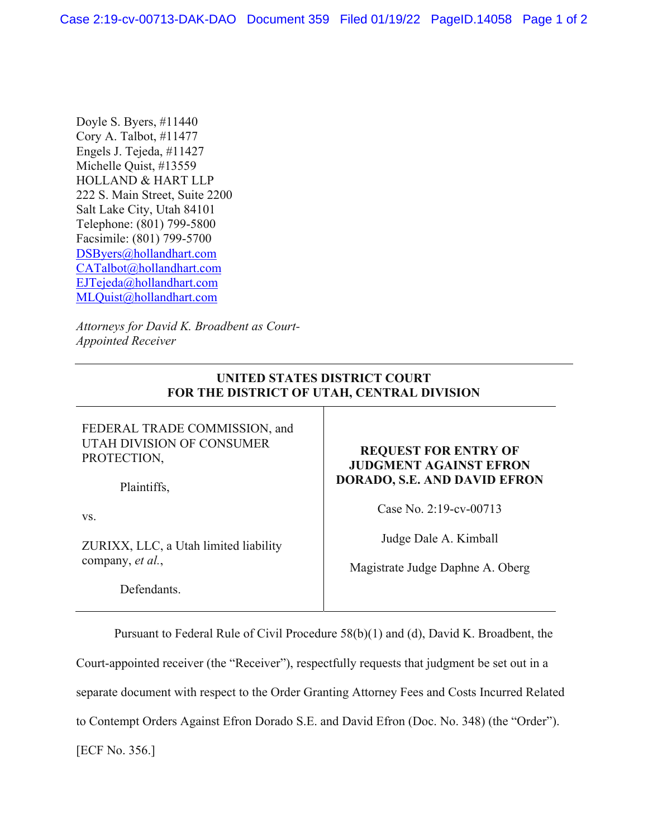Doyle S. Byers, #11440 Cory A. Talbot, #11477 Engels J. Tejeda, #11427 Michelle Quist, #13559 HOLLAND & HART LLP 222 S. Main Street, Suite 2200 Salt Lake City, Utah 84101 Telephone: (801) 799-5800 Facsimile: (801) 799-5700 DSByers@hollandhart.com CATalbot@hollandhart.com EJTejeda@hollandhart.com MLQuist@hollandhart.com

*Attorneys for David K. Broadbent as Court-Appointed Receiver* 

## **UNITED STATES DISTRICT COURT FOR THE DISTRICT OF UTAH, CENTRAL DIVISION**

FEDERAL TRADE COMMISSION, and UTAH DIVISION OF CONSUMER PROTECTION,

Plaintiffs,

vs.

ZURIXX, LLC, a Utah limited liability company, *et al.*,

Defendants.

## **REQUEST FOR ENTRY OF JUDGMENT AGAINST EFRON DORADO, S.E. AND DAVID EFRON**

Case No. 2:19-cv-00713

Judge Dale A. Kimball

Magistrate Judge Daphne A. Oberg

Pursuant to Federal Rule of Civil Procedure 58(b)(1) and (d), David K. Broadbent, the Court-appointed receiver (the "Receiver"), respectfully requests that judgment be set out in a separate document with respect to the Order Granting Attorney Fees and Costs Incurred Related

to Contempt Orders Against Efron Dorado S.E. and David Efron (Doc. No. 348) (the "Order").

[ECF No. 356.]